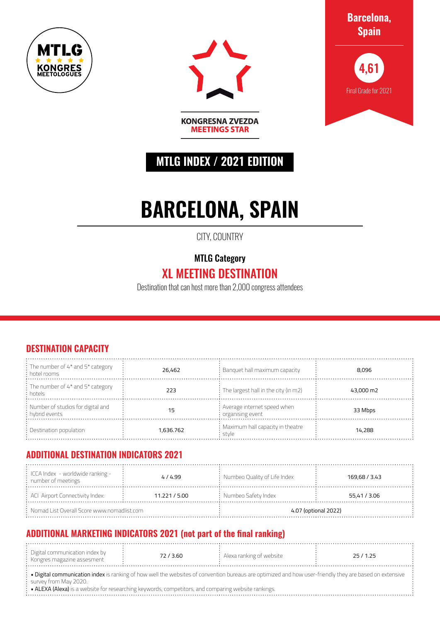





Final Grade for 2021

**KONGRESNA ZVEZDA MEETINGS STAR** 

## **MTLG INDEX / 2021 EDITION**

# **BARCELONA, SPAIN**

CITY, COUNTRY

MTLG Category

## XL MEETING DESTINATION

Destination that can host more than 2,000 congress attendees

#### **DESTINATION CAPACITY**

| : The number of 4* and 5* category<br>: hotel rooms    | 26,462    | $\therefore$ Banquet hall maximum capacity            | 8.096     |
|--------------------------------------------------------|-----------|-------------------------------------------------------|-----------|
| : The number of 4* and 5* category<br>: hotels         | 223       | $\frac{1}{2}$ : The largest hall in the city (in m2)  | 43,000 m2 |
| : Number of studios for digital and<br>: hybrid events | ל ו       | : Average internet speed when<br>$:$ organising event | 33 Mbps   |
| $\therefore$ Destination population                    | 1.636.762 | : Maximum hall capacity in theatre<br>' stvle         | 14,288    |

#### **ADDITIONAL DESTINATION INDICATORS 2021**

| $\frac{1}{2}$ ICCA Index - worldwide ranking -<br>$:$ number of meetings | 4/4.99      | : Numbeo Quality of Life Index | 169,68 / 3.43 |  |
|--------------------------------------------------------------------------|-------------|--------------------------------|---------------|--|
| $\div$ ACI Airport Connectivity Index:                                   | 11.221/5.00 | $:$ Numbeo Safety Index        | 55,41 / 3.06  |  |
| $:$ Nomad List Overall Score www.nomadlist.com                           |             | 4.07 (optional 2022)           |               |  |

### **ADDITIONAL MARKETING INDICATORS 2021 (not part of the final ranking)**

|  | Digital communication index by<br>: Kongres magazine assesment |  | / 3.60 | Alexa ranking of website |  |  |
|--|----------------------------------------------------------------|--|--------|--------------------------|--|--|
|--|----------------------------------------------------------------|--|--------|--------------------------|--|--|

• Digital communication index is ranking of how well the websites of convention bureaus are optimized and how user-friendly they are based on extensive survey from May 2020.

• ALEXA (Alexa) is a website for researching keywords, competitors, and comparing website rankings.